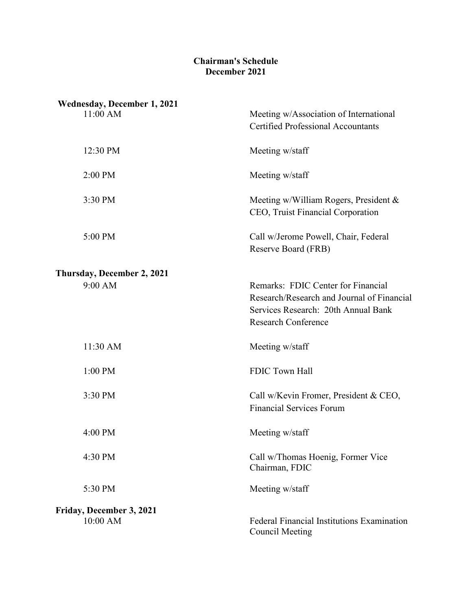## **Chairman's Schedule December 2021**

| <b>Wednesday, December 1, 2021</b><br>$11:00$ AM | Meeting w/Association of International<br><b>Certified Professional Accountants</b>                                                                   |
|--------------------------------------------------|-------------------------------------------------------------------------------------------------------------------------------------------------------|
| 12:30 PM                                         | Meeting w/staff                                                                                                                                       |
| 2:00 PM                                          | Meeting w/staff                                                                                                                                       |
| 3:30 PM                                          | Meeting w/William Rogers, President &<br>CEO, Truist Financial Corporation                                                                            |
| 5:00 PM                                          | Call w/Jerome Powell, Chair, Federal<br>Reserve Board (FRB)                                                                                           |
| Thursday, December 2, 2021<br>9:00 AM            | Remarks: FDIC Center for Financial<br>Research/Research and Journal of Financial<br>Services Research: 20th Annual Bank<br><b>Research Conference</b> |
| 11:30 AM                                         | Meeting w/staff                                                                                                                                       |
| 1:00 PM                                          | FDIC Town Hall                                                                                                                                        |
| 3:30 PM                                          | Call w/Kevin Fromer, President & CEO,<br><b>Financial Services Forum</b>                                                                              |
| 4:00 PM                                          | Meeting w/staff                                                                                                                                       |
| 4:30 PM                                          | Call w/Thomas Hoenig, Former Vice<br>Chairman, FDIC                                                                                                   |
| 5:30 PM                                          | Meeting w/staff                                                                                                                                       |
| Friday, December 3, 2021<br>10:00 AM             | <b>Federal Financial Institutions Examination</b><br><b>Council Meeting</b>                                                                           |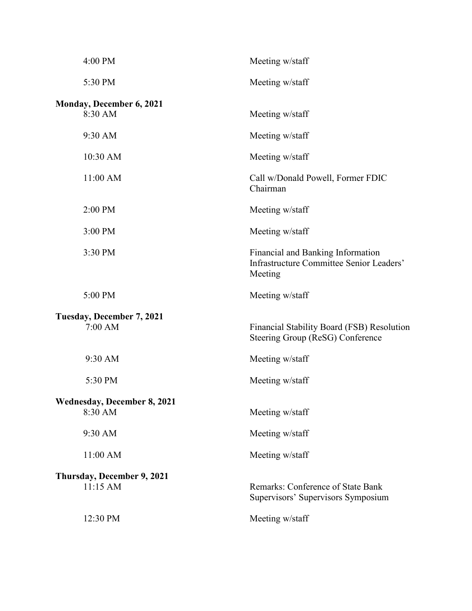| 4:00 PM                                       | Meeting w/staff                                                                          |
|-----------------------------------------------|------------------------------------------------------------------------------------------|
| 5:30 PM                                       | Meeting w/staff                                                                          |
| <b>Monday, December 6, 2021</b><br>8:30 AM    | Meeting w/staff                                                                          |
| 9:30 AM                                       | Meeting w/staff                                                                          |
| 10:30 AM                                      | Meeting w/staff                                                                          |
| 11:00 AM                                      | Call w/Donald Powell, Former FDIC<br>Chairman                                            |
| 2:00 PM                                       | Meeting w/staff                                                                          |
| 3:00 PM                                       | Meeting w/staff                                                                          |
| 3:30 PM                                       | Financial and Banking Information<br>Infrastructure Committee Senior Leaders'<br>Meeting |
| 5:00 PM                                       | Meeting w/staff                                                                          |
| Tuesday, December 7, 2021<br>7:00 AM          | Financial Stability Board (FSB) Resolution<br>Steering Group (ReSG) Conference           |
| 9:30 AM                                       | Meeting w/staff                                                                          |
| 5:30 PM                                       | Meeting w/staff                                                                          |
| <b>Wednesday, December 8, 2021</b><br>8:30 AM | Meeting w/staff                                                                          |
| 9:30 AM                                       | Meeting w/staff                                                                          |
| 11:00 AM                                      | Meeting w/staff                                                                          |
| Thursday, December 9, 2021<br>11:15 AM        | Remarks: Conference of State Bank<br>Supervisors' Supervisors Symposium                  |
| 12:30 PM                                      | Meeting w/staff                                                                          |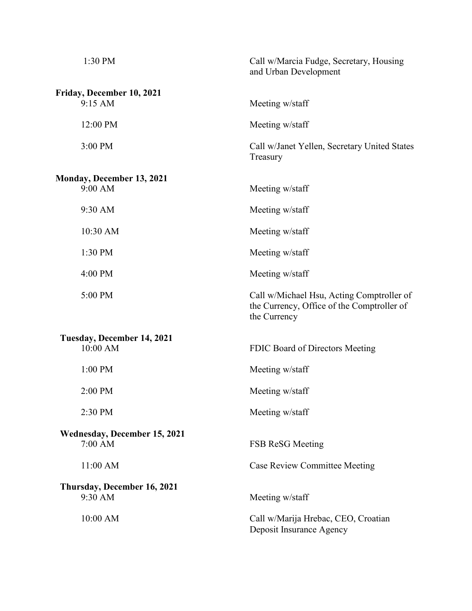| 1:30 PM                             | Call w/Marcia Fudge, Secretary, Housing<br>and Urban Development                                        |  |  |  |
|-------------------------------------|---------------------------------------------------------------------------------------------------------|--|--|--|
| Friday, December 10, 2021           |                                                                                                         |  |  |  |
| 9:15 AM                             | Meeting w/staff                                                                                         |  |  |  |
| 12:00 PM                            | Meeting w/staff                                                                                         |  |  |  |
| 3:00 PM                             | Call w/Janet Yellen, Secretary United States<br>Treasury                                                |  |  |  |
| <b>Monday, December 13, 2021</b>    |                                                                                                         |  |  |  |
| 9:00 AM                             | Meeting w/staff                                                                                         |  |  |  |
| 9:30 AM                             | Meeting w/staff                                                                                         |  |  |  |
| 10:30 AM                            | Meeting w/staff                                                                                         |  |  |  |
| 1:30 PM                             | Meeting w/staff                                                                                         |  |  |  |
| 4:00 PM                             | Meeting w/staff                                                                                         |  |  |  |
| 5:00 PM                             | Call w/Michael Hsu, Acting Comptroller of<br>the Currency, Office of the Comptroller of<br>the Currency |  |  |  |
| Tuesday, December 14, 2021          |                                                                                                         |  |  |  |
| 10:00 AM                            | FDIC Board of Directors Meeting                                                                         |  |  |  |
| 1:00 PM                             | Meeting w/staff                                                                                         |  |  |  |
| 2:00 PM                             | Meeting w/staff                                                                                         |  |  |  |
| 2:30 PM                             | Meeting w/staff                                                                                         |  |  |  |
| <b>Wednesday, December 15, 2021</b> |                                                                                                         |  |  |  |
| 7:00 AM                             | FSB ReSG Meeting                                                                                        |  |  |  |
| 11:00 AM                            | <b>Case Review Committee Meeting</b>                                                                    |  |  |  |
| Thursday, December 16, 2021         |                                                                                                         |  |  |  |
| 9:30 AM                             | Meeting w/staff                                                                                         |  |  |  |
| 10:00 AM                            | Call w/Marija Hrebac, CEO, Croatian<br>Deposit Insurance Agency                                         |  |  |  |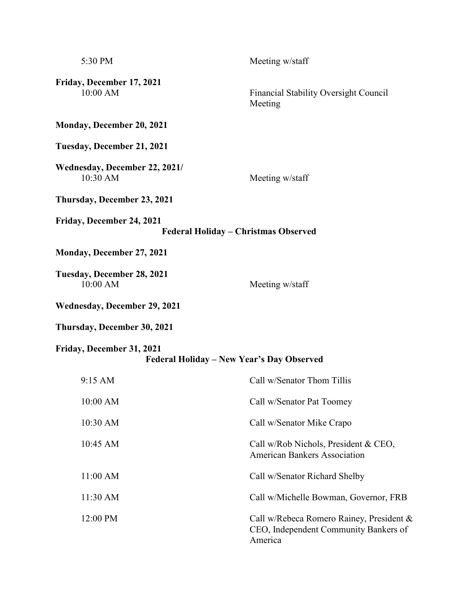| 5:30 PM                                                                | Meeting w/staff                                                                              |  |  |
|------------------------------------------------------------------------|----------------------------------------------------------------------------------------------|--|--|
| Friday, December 17, 2021<br>10:00 AM                                  | Financial Stability Oversight Council<br>Meeting                                             |  |  |
| <b>Monday, December 20, 2021</b>                                       |                                                                                              |  |  |
| Tuesday, December 21, 2021                                             |                                                                                              |  |  |
| Wednesday, December 22, 2021/<br>10:30 AM                              | Meeting w/staff                                                                              |  |  |
| Thursday, December 23, 2021                                            |                                                                                              |  |  |
| Friday, December 24, 2021<br>Federal Holiday - Christmas Observed      |                                                                                              |  |  |
| Monday, December 27, 2021                                              |                                                                                              |  |  |
| Tuesday, December 28, 2021<br>10:00 AM                                 | Meeting w/staff                                                                              |  |  |
| Wednesday, December 29, 2021                                           |                                                                                              |  |  |
| Thursday, December 30, 2021                                            |                                                                                              |  |  |
| Friday, December 31, 2021<br>Federal Holiday - New Year's Day Observed |                                                                                              |  |  |
| 9:15 AM                                                                | Call w/Senator Thom Tillis                                                                   |  |  |
| 10:00 AM                                                               | Call w/Senator Pat Toomey                                                                    |  |  |
| 10:30 AM                                                               | Call w/Senator Mike Crapo                                                                    |  |  |
| 10:45 AM                                                               | Call w/Rob Nichols, President & CEO,<br><b>American Bankers Association</b>                  |  |  |
| 11:00 AM                                                               | Call w/Senator Richard Shelby                                                                |  |  |
| 11:30 AM                                                               | Call w/Michelle Bowman, Governor, FRB                                                        |  |  |
| 12:00 PM                                                               | Call w/Rebeca Romero Rainey, President &<br>CEO, Independent Community Bankers of<br>America |  |  |